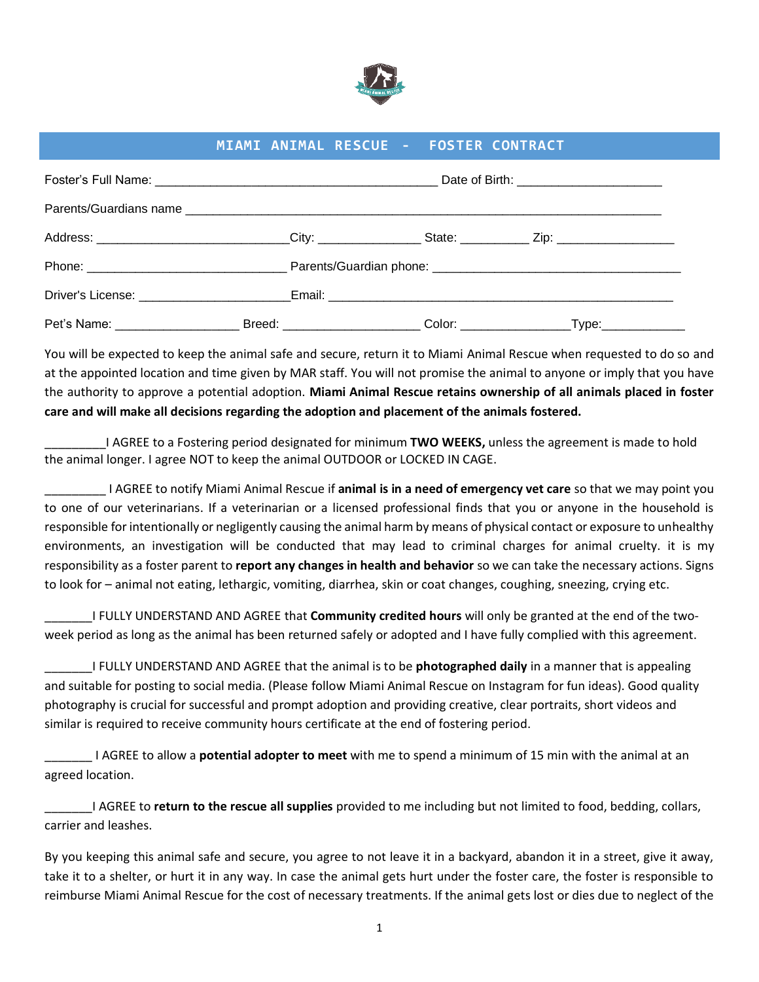

## **MIAMI ANIMAL RESCUE - FOSTER CONTRACT**

|                                                                                                           | Date of Birth: ___________________________ |                                                 |  |  |
|-----------------------------------------------------------------------------------------------------------|--------------------------------------------|-------------------------------------------------|--|--|
|                                                                                                           |                                            |                                                 |  |  |
| Address: _____________________________City: ________________State: _____________ Zip: ___________________ |                                            |                                                 |  |  |
|                                                                                                           |                                            |                                                 |  |  |
|                                                                                                           |                                            |                                                 |  |  |
|                                                                                                           |                                            | _Color: _____________________Type:_____________ |  |  |

You will be expected to keep the animal safe and secure, return it to Miami Animal Rescue when requested to do so and at the appointed location and time given by MAR staff. You will not promise the animal to anyone or imply that you have the authority to approve a potential adoption. **Miami Animal Rescue retains ownership of all animals placed in foster care and will make all decisions regarding the adoption and placement of the animals fostered.** 

\_\_\_\_\_\_\_\_\_I AGREE to a Fostering period designated for minimum **TWO WEEKS,** unless the agreement is made to hold the animal longer. I agree NOT to keep the animal OUTDOOR or LOCKED IN CAGE.

\_\_\_\_\_\_\_\_\_ I AGREE to notify Miami Animal Rescue if **animal is in a need of emergency vet care** so that we may point you to one of our veterinarians. If a veterinarian or a licensed professional finds that you or anyone in the household is responsible for intentionally or negligently causing the animal harm by means of physical contact or exposure to unhealthy environments, an investigation will be conducted that may lead to criminal charges for animal cruelty. it is my responsibility as a foster parent to **report any changes in health and behavior** so we can take the necessary actions. Signs to look for – animal not eating, lethargic, vomiting, diarrhea, skin or coat changes, coughing, sneezing, crying etc.

\_\_\_\_\_\_\_I FULLY UNDERSTAND AND AGREE that **Community credited hours** will only be granted at the end of the twoweek period as long as the animal has been returned safely or adopted and I have fully complied with this agreement.

\_\_\_\_\_\_\_I FULLY UNDERSTAND AND AGREE that the animal is to be **photographed daily** in a manner that is appealing and suitable for posting to social media. (Please follow Miami Animal Rescue on Instagram for fun ideas). Good quality photography is crucial for successful and prompt adoption and providing creative, clear portraits, short videos and similar is required to receive community hours certificate at the end of fostering period.

\_\_\_\_\_\_\_ I AGREE to allow a **potential adopter to meet** with me to spend a minimum of 15 min with the animal at an agreed location.

\_\_\_\_\_\_\_I AGREE to **return to the rescue all supplies** provided to me including but not limited to food, bedding, collars, carrier and leashes.

By you keeping this animal safe and secure, you agree to not leave it in a backyard, abandon it in a street, give it away, take it to a shelter, or hurt it in any way. In case the animal gets hurt under the foster care, the foster is responsible to reimburse Miami Animal Rescue for the cost of necessary treatments. If the animal gets lost or dies due to neglect of the